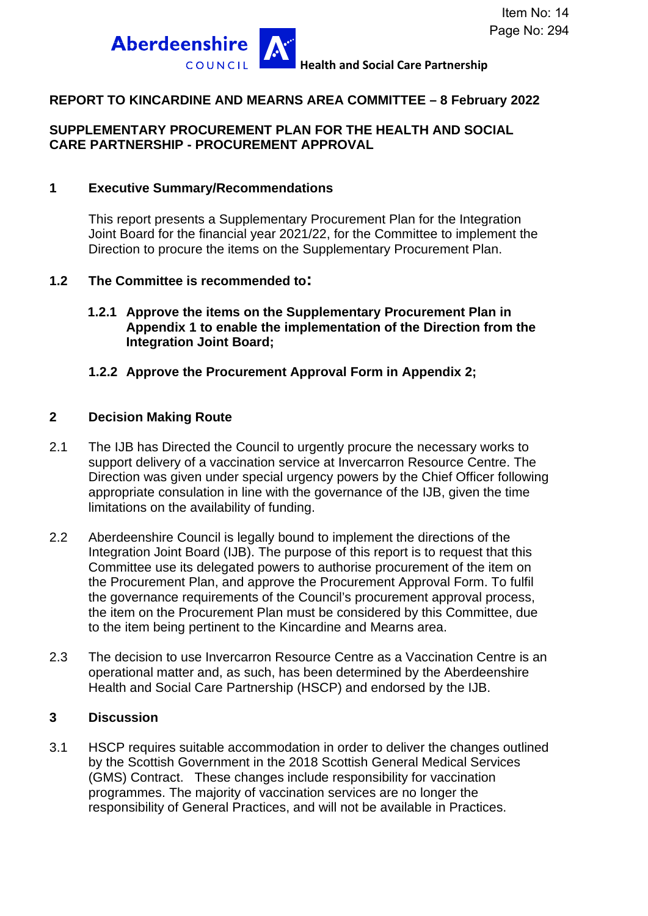

### **REPORT TO KINCARDINE AND MEARNS AREA COMMITTEE – 8 February 2022**

### **SUPPLEMENTARY PROCUREMENT PLAN FOR THE HEALTH AND SOCIAL CARE PARTNERSHIP - PROCUREMENT APPROVAL**

#### **1 Executive Summary/Recommendations**

This report presents a Supplementary Procurement Plan for the Integration Joint Board for the financial year 2021/22, for the Committee to implement the Direction to procure the items on the Supplementary Procurement Plan.

#### **1.2 The Committee is recommended to:**

**1.2.1 Approve the items on the Supplementary Procurement Plan in Appendix 1 to enable the implementation of the Direction from the Integration Joint Board;**

#### **1.2.2 Approve the Procurement Approval Form in Appendix 2;**

#### **2 Decision Making Route**

- 2.1 The IJB has Directed the Council to urgently procure the necessary works to support delivery of a vaccination service at Invercarron Resource Centre. The Direction was given under special urgency powers by the Chief Officer following appropriate consulation in line with the governance of the IJB, given the time limitations on the availability of funding.
- 2.2 Aberdeenshire Council is legally bound to implement the directions of the Integration Joint Board (IJB). The purpose of this report is to request that this Committee use its delegated powers to authorise procurement of the item on the Procurement Plan, and approve the Procurement Approval Form. To fulfil the governance requirements of the Council's procurement approval process, the item on the Procurement Plan must be considered by this Committee, due to the item being pertinent to the Kincardine and Mearns area.
- 2.3 The decision to use Invercarron Resource Centre as a Vaccination Centre is an operational matter and, as such, has been determined by the Aberdeenshire Health and Social Care Partnership (HSCP) and endorsed by the IJB.

#### **3 Discussion**

3.1 HSCP requires suitable accommodation in order to deliver the changes outlined by the Scottish Government in the 2018 Scottish General Medical Services (GMS) Contract. These changes include responsibility for vaccination programmes. The majority of vaccination services are no longer the responsibility of General Practices, and will not be available in Practices.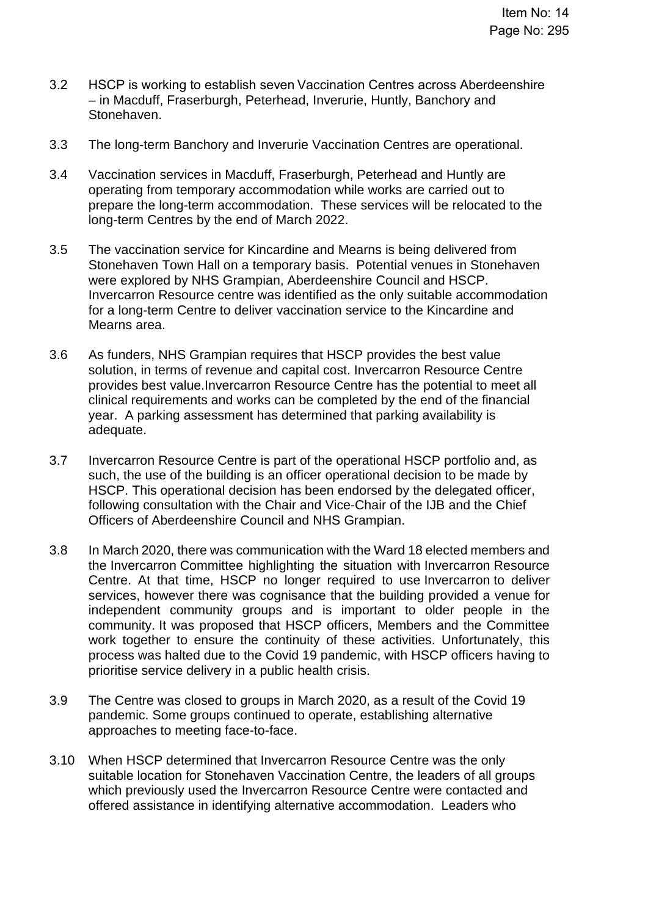- 3.2 HSCP is working to establish seven Vaccination Centres across Aberdeenshire – in Macduff, Fraserburgh, Peterhead, Inverurie, Huntly, Banchory and Stonehaven.
- 3.3 The long-term Banchory and Inverurie Vaccination Centres are operational.
- 3.4 Vaccination services in Macduff, Fraserburgh, Peterhead and Huntly are operating from temporary accommodation while works are carried out to prepare the long-term accommodation. These services will be relocated to the long-term Centres by the end of March 2022.
- 3.5 The vaccination service for Kincardine and Mearns is being delivered from Stonehaven Town Hall on a temporary basis. Potential venues in Stonehaven were explored by NHS Grampian, Aberdeenshire Council and HSCP. Invercarron Resource centre was identified as the only suitable accommodation for a long-term Centre to deliver vaccination service to the Kincardine and Mearns area.
- 3.6 As funders, NHS Grampian requires that HSCP provides the best value solution, in terms of revenue and capital cost. Invercarron Resource Centre provides best value.Invercarron Resource Centre has the potential to meet all clinical requirements and works can be completed by the end of the financial year. A parking assessment has determined that parking availability is adequate.
- 3.7 Invercarron Resource Centre is part of the operational HSCP portfolio and, as such, the use of the building is an officer operational decision to be made by HSCP. This operational decision has been endorsed by the delegated officer, following consultation with the Chair and Vice-Chair of the IJB and the Chief Officers of Aberdeenshire Council and NHS Grampian.
- 3.8 In March 2020, there was communication with the Ward 18 elected members and the Invercarron Committee highlighting the situation with Invercarron Resource Centre. At that time, HSCP no longer required to use Invercarron to deliver services, however there was cognisance that the building provided a venue for independent community groups and is important to older people in the community. It was proposed that HSCP officers, Members and the Committee work together to ensure the continuity of these activities. Unfortunately, this process was halted due to the Covid 19 pandemic, with HSCP officers having to prioritise service delivery in a public health crisis.
- 3.9 The Centre was closed to groups in March 2020, as a result of the Covid 19 pandemic. Some groups continued to operate, establishing alternative approaches to meeting face-to-face.
- 3.10 When HSCP determined that Invercarron Resource Centre was the only suitable location for Stonehaven Vaccination Centre, the leaders of all groups which previously used the Invercarron Resource Centre were contacted and offered assistance in identifying alternative accommodation. Leaders who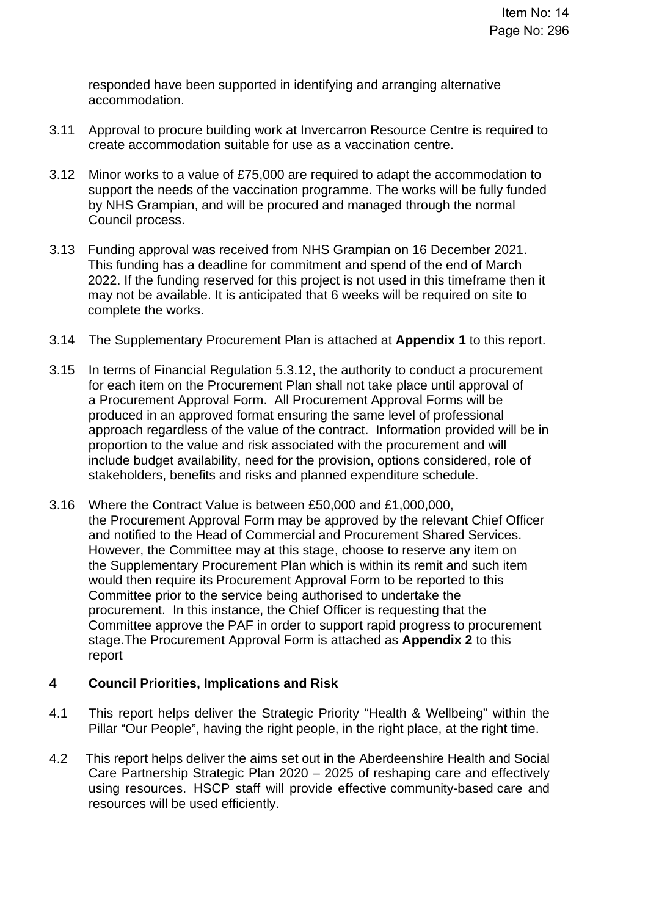responded have been supported in identifying and arranging alternative accommodation.

- 3.11 Approval to procure building work at Invercarron Resource Centre is required to create accommodation suitable for use as a vaccination centre.
- 3.12 Minor works to a value of £75,000 are required to adapt the accommodation to support the needs of the vaccination programme. The works will be fully funded by NHS Grampian, and will be procured and managed through the normal Council process.
- 3.13 Funding approval was received from NHS Grampian on 16 December 2021. This funding has a deadline for commitment and spend of the end of March 2022. If the funding reserved for this project is not used in this timeframe then it may not be available. It is anticipated that 6 weeks will be required on site to complete the works.
- 3.14 The Supplementary Procurement Plan is attached at **Appendix 1** to this report.
- 3.15 In terms of Financial Regulation 5.3.12, the authority to conduct a procurement for each item on the Procurement Plan shall not take place until approval of a Procurement Approval Form. All Procurement Approval Forms will be produced in an approved format ensuring the same level of professional approach regardless of the value of the contract. Information provided will be in proportion to the value and risk associated with the procurement and will include budget availability, need for the provision, options considered, role of stakeholders, benefits and risks and planned expenditure schedule.
- 3.16 Where the Contract Value is between £50,000 and £1,000,000, the Procurement Approval Form may be approved by the relevant Chief Officer and notified to the Head of Commercial and Procurement Shared Services. However, the Committee may at this stage, choose to reserve any item on the Supplementary Procurement Plan which is within its remit and such item would then require its Procurement Approval Form to be reported to this Committee prior to the service being authorised to undertake the procurement. In this instance, the Chief Officer is requesting that the Committee approve the PAF in order to support rapid progress to procurement stage.The Procurement Approval Form is attached as **Appendix 2** to this report

#### **4 Council Priorities, Implications and Risk**

- 4.1 This report helps deliver the Strategic Priority "Health & Wellbeing" within the Pillar "Our People", having the right people, in the right place, at the right time.
- 4.2 This report helps deliver the aims set out in the Aberdeenshire Health and Social Care Partnership Strategic Plan 2020 – 2025 of reshaping care and effectively using resources. HSCP staff will provide effective community-based care and resources will be used efficiently.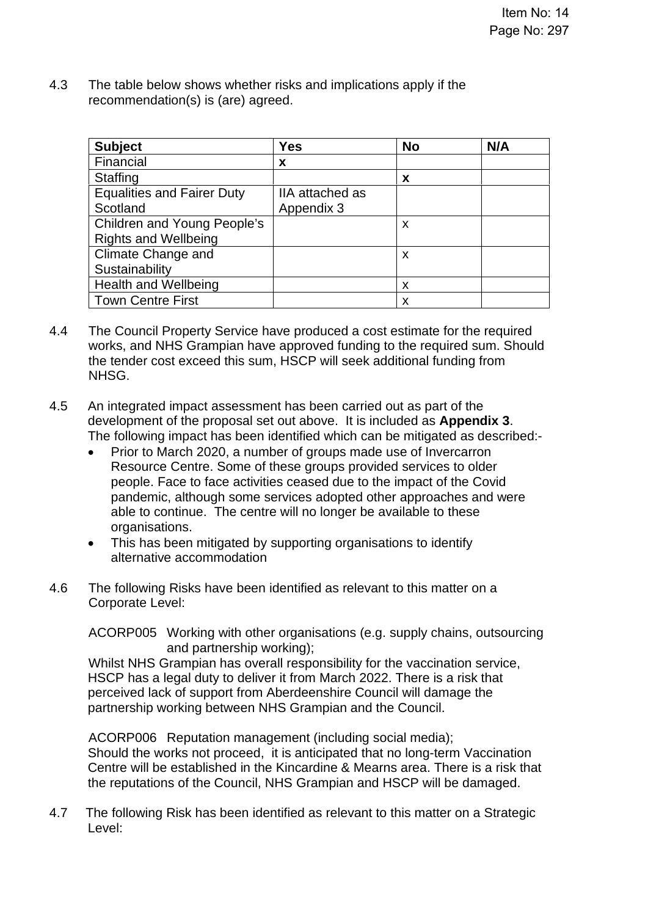4.3 The table below shows whether risks and implications apply if the recommendation(s) is (are) agreed.

| <b>Subject</b>                                             | <b>Yes</b>                    | <b>No</b> | N/A |
|------------------------------------------------------------|-------------------------------|-----------|-----|
| Financial                                                  | x                             |           |     |
| <b>Staffing</b>                                            |                               | x         |     |
| <b>Equalities and Fairer Duty</b><br>Scotland              | IIA attached as<br>Appendix 3 |           |     |
| Children and Young People's<br><b>Rights and Wellbeing</b> |                               | x         |     |
| Climate Change and                                         |                               | x         |     |
| Sustainability                                             |                               |           |     |
| <b>Health and Wellbeing</b>                                |                               | x         |     |
| <b>Town Centre First</b>                                   |                               | x         |     |

- 4.4 The Council Property Service have produced a cost estimate for the required works, and NHS Grampian have approved funding to the required sum. Should the tender cost exceed this sum, HSCP will seek additional funding from NHSG.
- 4.5 An integrated impact assessment has been carried out as part of the development of the proposal set out above. It is included as **Appendix 3**. The following impact has been identified which can be mitigated as described:-
	- Prior to March 2020, a number of groups made use of Invercarron Resource Centre. Some of these groups provided services to older people. Face to face activities ceased due to the impact of the Covid pandemic, although some services adopted other approaches and were able to continue. The centre will no longer be available to these organisations.
	- This has been mitigated by supporting organisations to identify alternative accommodation
- 4.6 The following Risks have been identified as relevant to this matter on a Corporate Level:

ACORP005 Working with other organisations (e.g. supply chains, outsourcing and partnership working);

Whilst NHS Grampian has overall responsibility for the vaccination service, HSCP has a legal duty to deliver it from March 2022. There is a risk that perceived lack of support from Aberdeenshire Council will damage the partnership working between NHS Grampian and the Council.

ACORP006 Reputation management (including social media); Should the works not proceed, it is anticipated that no long-term Vaccination Centre will be established in the Kincardine & Mearns area. There is a risk that the reputations of the Council, NHS Grampian and HSCP will be damaged.

4.7 The following Risk has been identified as relevant to this matter on a Strategic Level: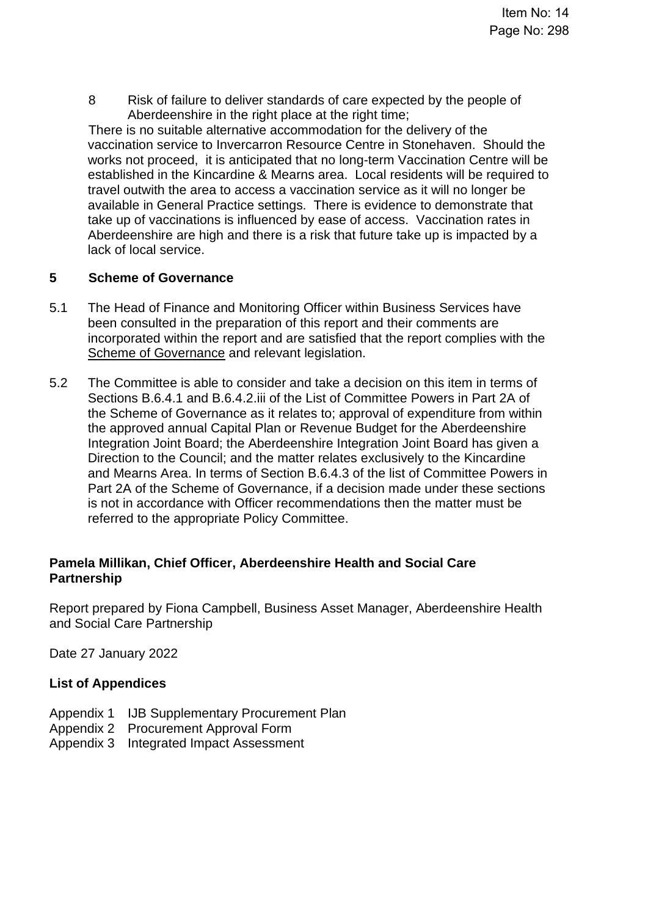8 Risk of failure to deliver standards of care expected by the people of Aberdeenshire in the right place at the right time:

There is no suitable alternative accommodation for the delivery of the vaccination service to Invercarron Resource Centre in Stonehaven. Should the works not proceed, it is anticipated that no long-term Vaccination Centre will be established in the Kincardine & Mearns area. Local residents will be required to travel outwith the area to access a vaccination service as it will no longer be available in General Practice settings. There is evidence to demonstrate that take up of vaccinations is influenced by ease of access. Vaccination rates in Aberdeenshire are high and there is a risk that future take up is impacted by a lack of local service.

### **5 Scheme of Governance**

- 5.1 The Head of Finance and Monitoring Officer within Business Services have been consulted in the preparation of this report and their comments are incorporated within the report and are satisfied that the report complies with the [Scheme of Governance](https://www.aberdeenshire.gov.uk/council-and-democracy/scheme-of-governance/) and relevant legislation.
- 5.2 The Committee is able to consider and take a decision on this item in terms of Sections B.6.4.1 and B.6.4.2.iii of the List of Committee Powers in Part 2A of the Scheme of Governance as it relates to; approval of expenditure from within the approved annual Capital Plan or Revenue Budget for the Aberdeenshire Integration Joint Board; the Aberdeenshire Integration Joint Board has given a Direction to the Council; and the matter relates exclusively to the Kincardine and Mearns Area. In terms of Section B.6.4.3 of the list of Committee Powers in Part 2A of the Scheme of Governance, if a decision made under these sections is not in accordance with Officer recommendations then the matter must be referred to the appropriate Policy Committee.

### **Pamela Millikan, Chief Officer, Aberdeenshire Health and Social Care Partnership**

Report prepared by Fiona Campbell, Business Asset Manager, Aberdeenshire Health and Social Care Partnership

Date 27 January 2022

### **List of Appendices**

- Appendix 1 IJB Supplementary Procurement Plan
- Appendix 2 Procurement Approval Form
- Appendix 3 Integrated Impact Assessment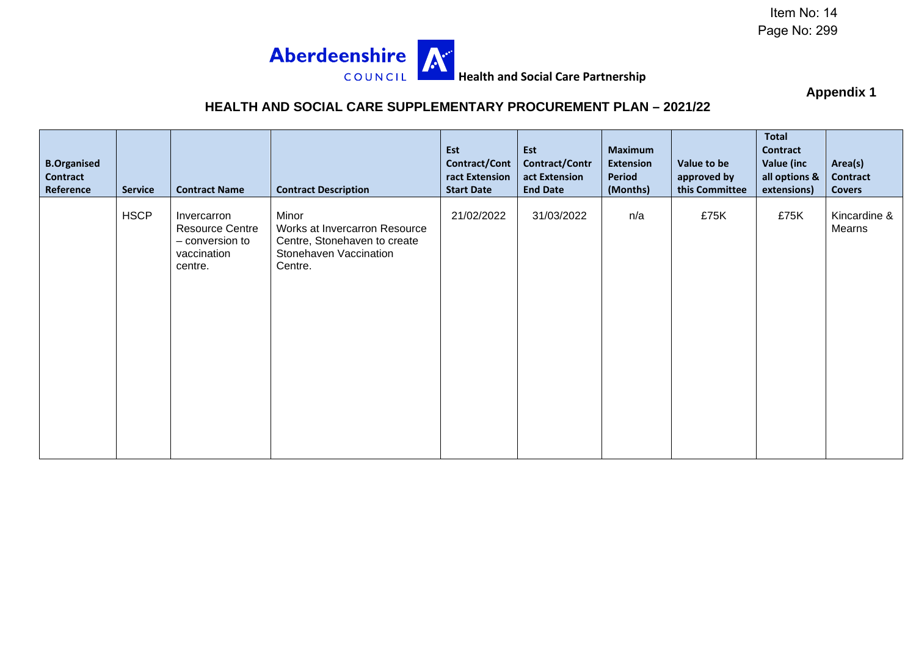Item No: 14 Page No: 299



**Appendix 1** 

### **HEALTH AND SOCIAL CARE SUPPLEMENTARY PROCUREMENT PLAN – 2021/22**

| <b>B.Organised</b><br><b>Contract</b><br>Reference | <b>Service</b> | <b>Contract Name</b>                                                               | <b>Contract Description</b>                                                                                 | Est<br>Contract/Cont<br>ract Extension<br><b>Start Date</b> | Est<br>Contract/Contr<br>act Extension<br><b>End Date</b> | <b>Maximum</b><br><b>Extension</b><br><b>Period</b><br>(Months) | Value to be<br>approved by<br>this Committee | <b>Total</b><br><b>Contract</b><br>Value (inc<br>all options &<br>extensions) | Area(s)<br><b>Contract</b><br><b>Covers</b> |
|----------------------------------------------------|----------------|------------------------------------------------------------------------------------|-------------------------------------------------------------------------------------------------------------|-------------------------------------------------------------|-----------------------------------------------------------|-----------------------------------------------------------------|----------------------------------------------|-------------------------------------------------------------------------------|---------------------------------------------|
|                                                    | <b>HSCP</b>    | Invercarron<br><b>Resource Centre</b><br>- conversion to<br>vaccination<br>centre. | Minor<br>Works at Invercarron Resource<br>Centre, Stonehaven to create<br>Stonehaven Vaccination<br>Centre. | 21/02/2022                                                  | 31/03/2022                                                | n/a                                                             | £75K                                         | £75K                                                                          | Kincardine &<br>Mearns                      |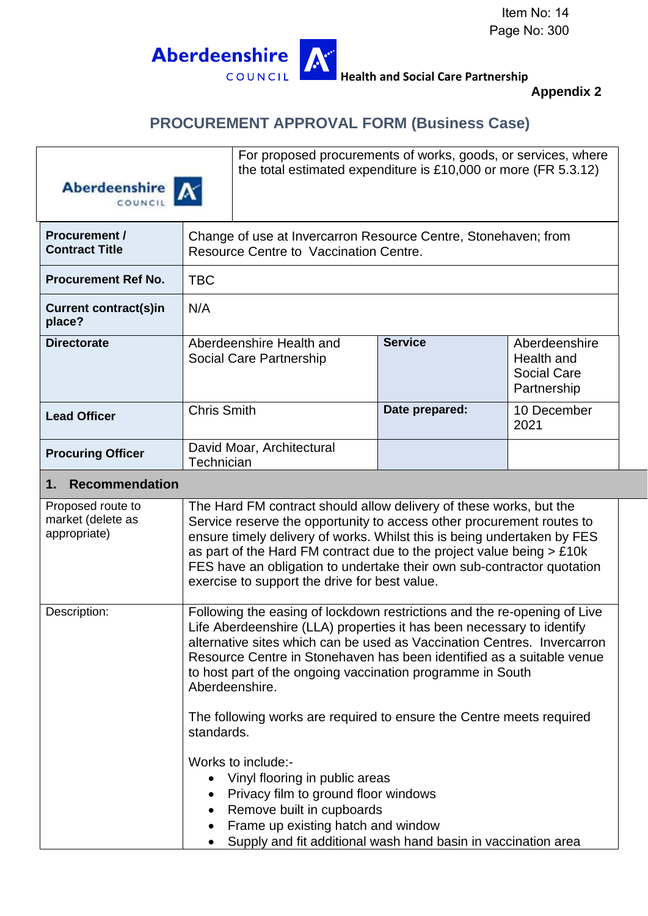

**Health and Social Care Partnership** 

### **Appendix 2**

### **PROCUREMENT APPROVAL FORM (Business Case)**





For proposed procurements of works, goods, or services, where the total estimated expenditure is £10,000 or more (FR 5.3.12)

| <b>Procurement /</b><br><b>Contract Title</b> |                    | Change of use at Invercarron Resource Centre, Stonehaven; from<br>Resource Centre to Vaccination Centre. |                |                                                           |  |
|-----------------------------------------------|--------------------|----------------------------------------------------------------------------------------------------------|----------------|-----------------------------------------------------------|--|
| <b>Procurement Ref No.</b>                    | <b>TBC</b>         |                                                                                                          |                |                                                           |  |
| <b>Current contract(s)in</b><br>place?        | N/A                |                                                                                                          |                |                                                           |  |
| <b>Directorate</b>                            |                    | Aberdeenshire Health and<br>Social Care Partnership                                                      | <b>Service</b> | Aberdeenshire<br>Health and<br>Social Care<br>Partnership |  |
| <b>Lead Officer</b>                           | <b>Chris Smith</b> |                                                                                                          | Date prepared: | 10 December<br>2021                                       |  |
| <b>Procuring Officer</b>                      | Technician         | David Moar, Architectural                                                                                |                |                                                           |  |

#### **1. Recommendation**

| Proposed route to<br>market (delete as<br>appropriate) | The Hard FM contract should allow delivery of these works, but the<br>Service reserve the opportunity to access other procurement routes to<br>ensure timely delivery of works. Whilst this is being undertaken by FES<br>as part of the Hard FM contract due to the project value being $> \pounds 10k$<br>FES have an obligation to undertake their own sub-contractor quotation<br>exercise to support the drive for best value. |
|--------------------------------------------------------|-------------------------------------------------------------------------------------------------------------------------------------------------------------------------------------------------------------------------------------------------------------------------------------------------------------------------------------------------------------------------------------------------------------------------------------|
| Description:                                           | Following the easing of lockdown restrictions and the re-opening of Live<br>Life Aberdeenshire (LLA) properties it has been necessary to identify<br>alternative sites which can be used as Vaccination Centres. Invercarron<br>Resource Centre in Stonehaven has been identified as a suitable venue<br>to host part of the ongoing vaccination programme in South<br>Aberdeenshire.                                               |
|                                                        | The following works are required to ensure the Centre meets required<br>standards.<br>Works to include:-<br>Vinyl flooring in public areas<br>Privacy film to ground floor windows<br>Remove built in cupboards<br>$\bullet$<br>Frame up existing hatch and window<br>Supply and fit additional wash hand basin in vaccination area                                                                                                 |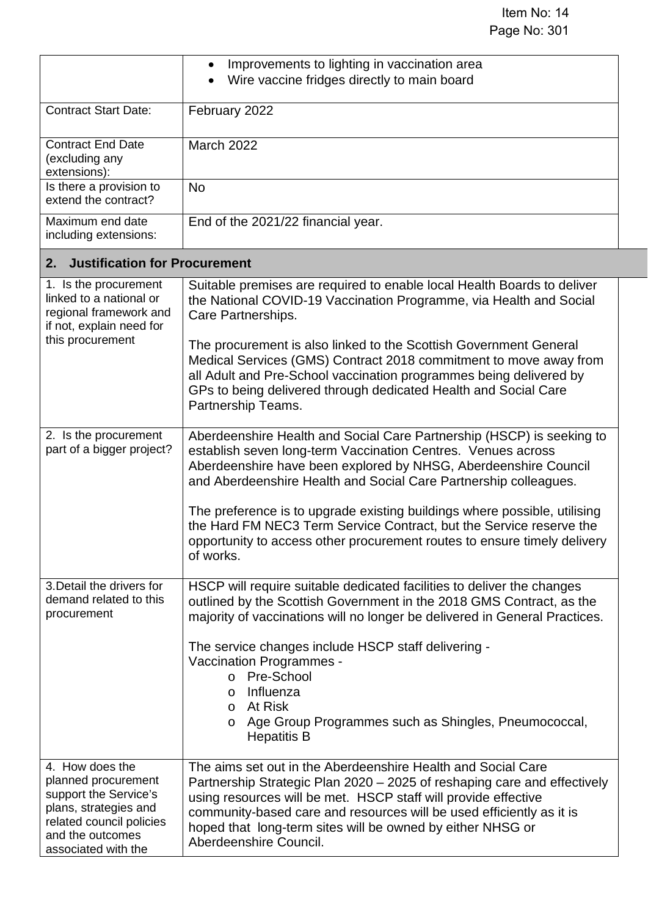|                                                                                                                                                                 | Improvements to lighting in vaccination area<br>$\bullet$<br>Wire vaccine fridges directly to main board                                                                                                                                                                                                                                                                   |
|-----------------------------------------------------------------------------------------------------------------------------------------------------------------|----------------------------------------------------------------------------------------------------------------------------------------------------------------------------------------------------------------------------------------------------------------------------------------------------------------------------------------------------------------------------|
| <b>Contract Start Date:</b>                                                                                                                                     | February 2022                                                                                                                                                                                                                                                                                                                                                              |
| <b>Contract End Date</b><br>(excluding any<br>extensions):                                                                                                      | March 2022                                                                                                                                                                                                                                                                                                                                                                 |
| Is there a provision to<br>extend the contract?                                                                                                                 | <b>No</b>                                                                                                                                                                                                                                                                                                                                                                  |
| Maximum end date<br>including extensions:                                                                                                                       | End of the 2021/22 financial year.                                                                                                                                                                                                                                                                                                                                         |
| <b>Justification for Procurement</b><br>2.                                                                                                                      |                                                                                                                                                                                                                                                                                                                                                                            |
| 1. Is the procurement<br>linked to a national or<br>regional framework and<br>if not, explain need for                                                          | Suitable premises are required to enable local Health Boards to deliver<br>the National COVID-19 Vaccination Programme, via Health and Social<br>Care Partnerships.                                                                                                                                                                                                        |
| this procurement                                                                                                                                                | The procurement is also linked to the Scottish Government General<br>Medical Services (GMS) Contract 2018 commitment to move away from<br>all Adult and Pre-School vaccination programmes being delivered by<br>GPs to being delivered through dedicated Health and Social Care<br>Partnership Teams.                                                                      |
| 2. Is the procurement<br>part of a bigger project?                                                                                                              | Aberdeenshire Health and Social Care Partnership (HSCP) is seeking to<br>establish seven long-term Vaccination Centres. Venues across<br>Aberdeenshire have been explored by NHSG, Aberdeenshire Council<br>and Aberdeenshire Health and Social Care Partnership colleagues.                                                                                               |
|                                                                                                                                                                 | The preference is to upgrade existing buildings where possible, utilising<br>the Hard FM NEC3 Term Service Contract, but the Service reserve the<br>opportunity to access other procurement routes to ensure timely delivery<br>of works.                                                                                                                                  |
| 3. Detail the drivers for<br>demand related to this<br>procurement                                                                                              | HSCP will require suitable dedicated facilities to deliver the changes<br>outlined by the Scottish Government in the 2018 GMS Contract, as the<br>majority of vaccinations will no longer be delivered in General Practices.                                                                                                                                               |
|                                                                                                                                                                 | The service changes include HSCP staff delivering -<br>Vaccination Programmes -<br>o Pre-School<br>Influenza<br>$\circ$<br>o At Risk<br>o Age Group Programmes such as Shingles, Pneumococcal,<br><b>Hepatitis B</b>                                                                                                                                                       |
| 4. How does the<br>planned procurement<br>support the Service's<br>plans, strategies and<br>related council policies<br>and the outcomes<br>associated with the | The aims set out in the Aberdeenshire Health and Social Care<br>Partnership Strategic Plan 2020 – 2025 of reshaping care and effectively<br>using resources will be met. HSCP staff will provide effective<br>community-based care and resources will be used efficiently as it is<br>hoped that long-term sites will be owned by either NHSG or<br>Aberdeenshire Council. |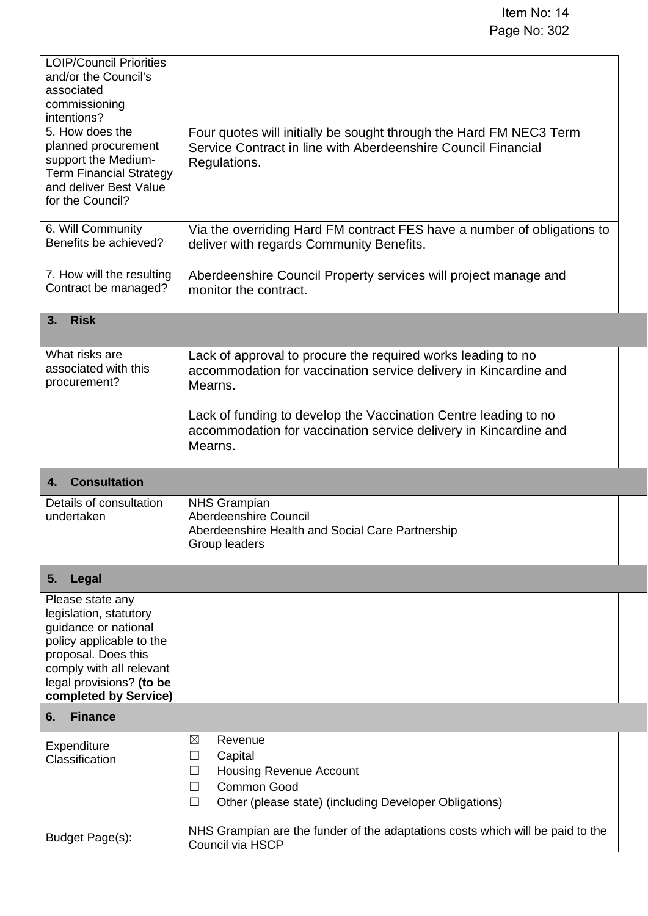| <b>LOIP/Council Priorities</b><br>and/or the Council's<br>associated<br>commissioning<br>intentions?                                                                                                   |                                                                                                                                                                              |  |
|--------------------------------------------------------------------------------------------------------------------------------------------------------------------------------------------------------|------------------------------------------------------------------------------------------------------------------------------------------------------------------------------|--|
| 5. How does the<br>planned procurement<br>support the Medium-<br><b>Term Financial Strategy</b><br>and deliver Best Value<br>for the Council?                                                          | Four quotes will initially be sought through the Hard FM NEC3 Term<br>Service Contract in line with Aberdeenshire Council Financial<br>Regulations.                          |  |
| 6. Will Community<br>Benefits be achieved?                                                                                                                                                             | Via the overriding Hard FM contract FES have a number of obligations to<br>deliver with regards Community Benefits.                                                          |  |
| 7. How will the resulting<br>Contract be managed?                                                                                                                                                      | Aberdeenshire Council Property services will project manage and<br>monitor the contract.                                                                                     |  |
| <b>Risk</b><br>3.                                                                                                                                                                                      |                                                                                                                                                                              |  |
| What risks are<br>associated with this<br>procurement?                                                                                                                                                 | Lack of approval to procure the required works leading to no<br>accommodation for vaccination service delivery in Kincardine and<br>Mearns.                                  |  |
|                                                                                                                                                                                                        | Lack of funding to develop the Vaccination Centre leading to no<br>accommodation for vaccination service delivery in Kincardine and<br>Mearns.                               |  |
| <b>Consultation</b><br>4.                                                                                                                                                                              |                                                                                                                                                                              |  |
| Details of consultation<br>undertaken                                                                                                                                                                  | <b>NHS Grampian</b><br>Aberdeenshire Council<br>Aberdeenshire Health and Social Care Partnership<br>Group leaders                                                            |  |
| Legal<br>5.                                                                                                                                                                                            |                                                                                                                                                                              |  |
| Please state any<br>legislation, statutory<br>guidance or national<br>policy applicable to the<br>proposal. Does this<br>comply with all relevant<br>legal provisions? (to be<br>completed by Service) |                                                                                                                                                                              |  |
| <b>Finance</b><br>6.                                                                                                                                                                                   |                                                                                                                                                                              |  |
| Expenditure<br>Classification                                                                                                                                                                          | Revenue<br>⊠<br>Capital<br>⊔<br><b>Housing Revenue Account</b><br>$\Box$<br><b>Common Good</b><br>$\Box$<br>Other (please state) (including Developer Obligations)<br>$\Box$ |  |
| Budget Page(s):                                                                                                                                                                                        | NHS Grampian are the funder of the adaptations costs which will be paid to the<br>Council via HSCP                                                                           |  |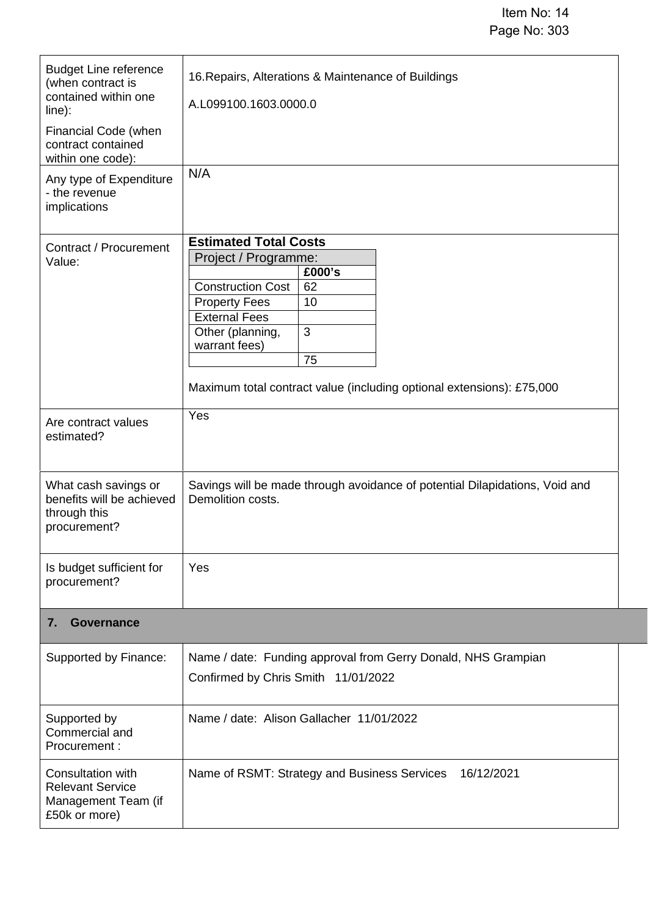| <b>Budget Line reference</b><br>(when contract is<br>contained within one<br>$line)$ :<br>Financial Code (when<br>contract contained<br>within one code):<br>Any type of Expenditure<br>- the revenue<br>implications | 16. Repairs, Alterations & Maintenance of Buildings<br>A.L099100.1603.0000.0<br>N/A                                                                                                                                                                                             |  |  |
|-----------------------------------------------------------------------------------------------------------------------------------------------------------------------------------------------------------------------|---------------------------------------------------------------------------------------------------------------------------------------------------------------------------------------------------------------------------------------------------------------------------------|--|--|
| Contract / Procurement<br>Value:                                                                                                                                                                                      | <b>Estimated Total Costs</b><br>Project / Programme:<br>£000's<br><b>Construction Cost</b><br>62<br>10<br><b>Property Fees</b><br><b>External Fees</b><br>3<br>Other (planning,<br>warrant fees)<br>75<br>Maximum total contract value (including optional extensions): £75,000 |  |  |
| Are contract values<br>estimated?                                                                                                                                                                                     | Yes                                                                                                                                                                                                                                                                             |  |  |
| What cash savings or<br>benefits will be achieved<br>through this<br>procurement?                                                                                                                                     | Savings will be made through avoidance of potential Dilapidations, Void and<br>Demolition costs.                                                                                                                                                                                |  |  |
| Is budget sufficient for<br>procurement?                                                                                                                                                                              | Yes                                                                                                                                                                                                                                                                             |  |  |
| <b>Governance</b><br>7.                                                                                                                                                                                               |                                                                                                                                                                                                                                                                                 |  |  |
| Supported by Finance:                                                                                                                                                                                                 | Name / date: Funding approval from Gerry Donald, NHS Grampian<br>Confirmed by Chris Smith 11/01/2022                                                                                                                                                                            |  |  |
| Supported by<br>Commercial and<br>Procurement:                                                                                                                                                                        | Name / date: Alison Gallacher 11/01/2022                                                                                                                                                                                                                                        |  |  |
| Consultation with<br><b>Relevant Service</b><br>Management Team (if<br>£50k or more)                                                                                                                                  | Name of RSMT: Strategy and Business Services<br>16/12/2021                                                                                                                                                                                                                      |  |  |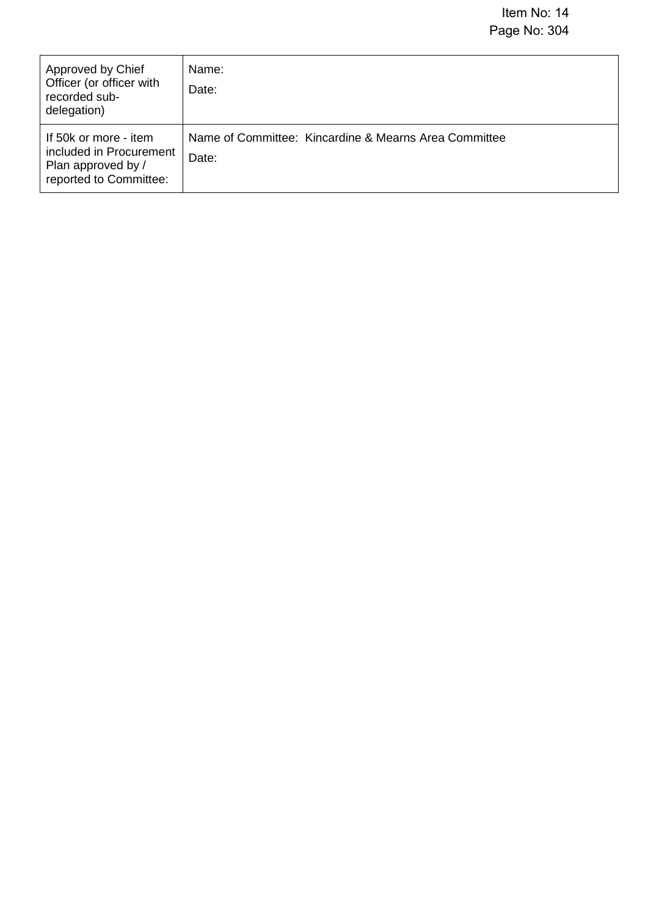| Approved by Chief<br>Officer (or officer with<br>recorded sub-<br>delegation)                    | Name:<br>Date:                                                 |
|--------------------------------------------------------------------------------------------------|----------------------------------------------------------------|
| If 50k or more - item<br>included in Procurement<br>Plan approved by /<br>reported to Committee: | Name of Committee: Kincardine & Mearns Area Committee<br>Date: |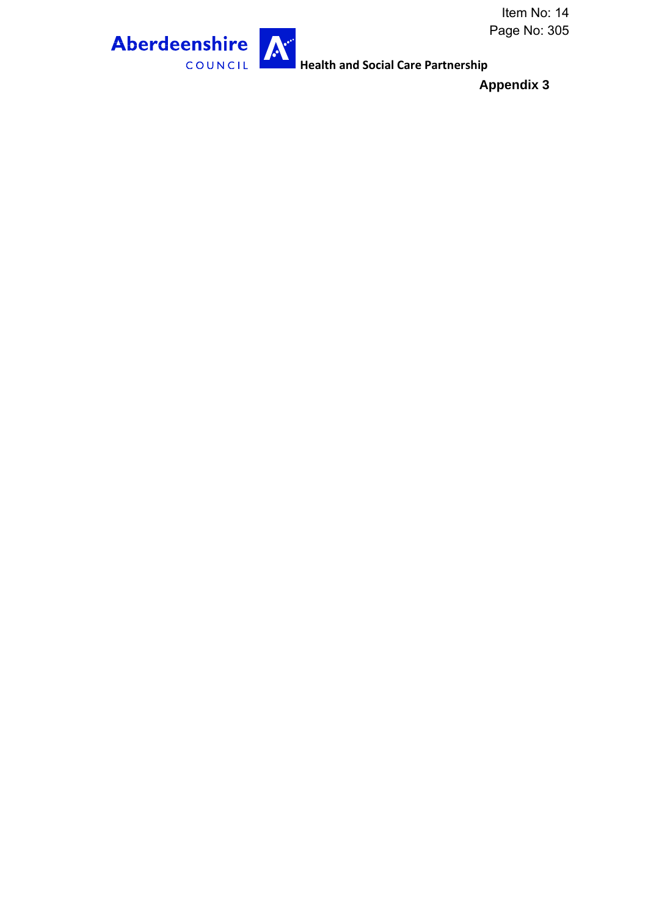

**Health and Social Care Partnership** 

**Appendix 3**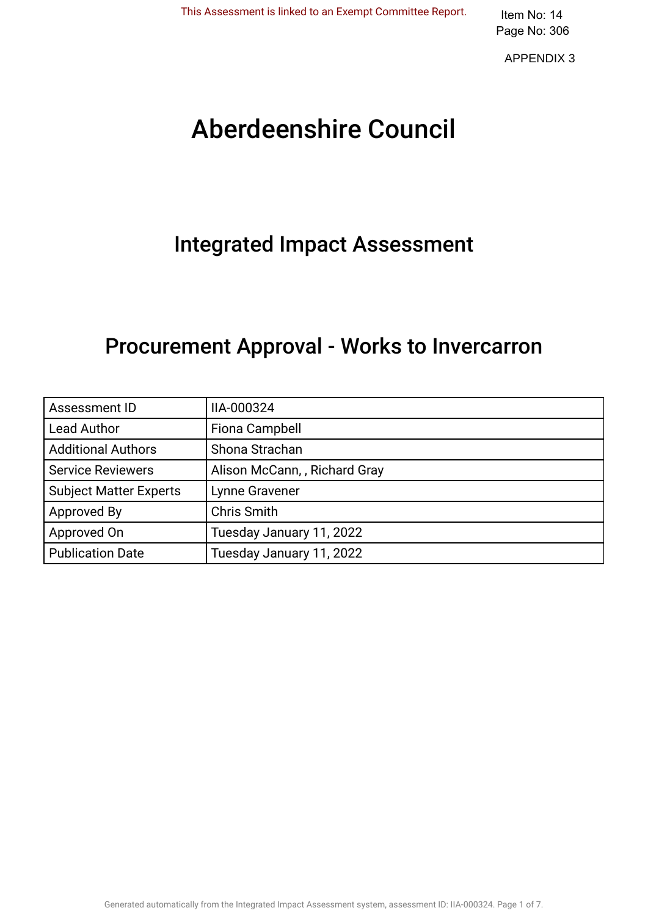APPENDIX 3

# Aberdeenshire Council .

## Integrated Impact Assessment.

## Procurement Approval - Works to Invercarron.

| Assessment ID                 | IIA-000324                   |
|-------------------------------|------------------------------|
| <b>Lead Author</b>            | Fiona Campbell               |
| <b>Additional Authors</b>     | Shona Strachan               |
| <b>Service Reviewers</b>      | Alison McCann,, Richard Gray |
| <b>Subject Matter Experts</b> | Lynne Gravener               |
| Approved By                   | <b>Chris Smith</b>           |
| Approved On                   | Tuesday January 11, 2022     |
| <b>Publication Date</b>       | Tuesday January 11, 2022     |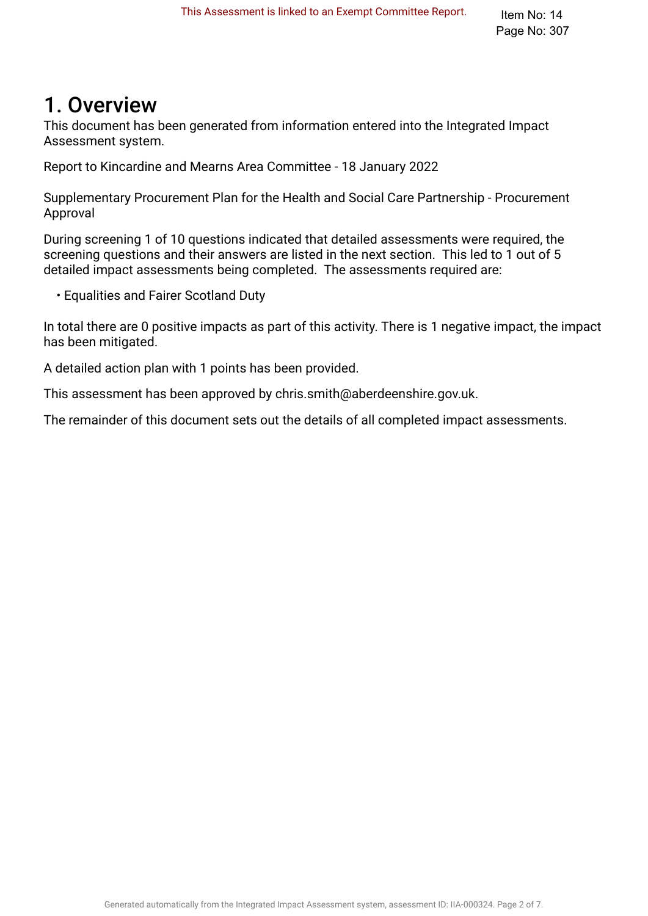## 1. Overview.

This document has been generated from information entered into the Integrated Impact Assessment system.

Report to Kincardine and Mearns Area Committee - 18 January 2022

Supplementary Procurement Plan for the Health and Social Care Partnership - Procurement Approval

During screening 1 of 10 questions indicated that detailed assessments were required, the screening questions and their answers are listed in the next section. This led to 1 out of 5 detailed impact assessments being completed. The assessments required are:

• Equalities and Fairer Scotland Duty

In total there are 0 positive impacts as part of this activity. There is 1 negative impact, the impact has been mitigated.

A detailed action plan with 1 points has been provided.

This assessment has been approved by chris.smith@aberdeenshire.gov.uk.

The remainder of this document sets out the details of all completed impact assessments.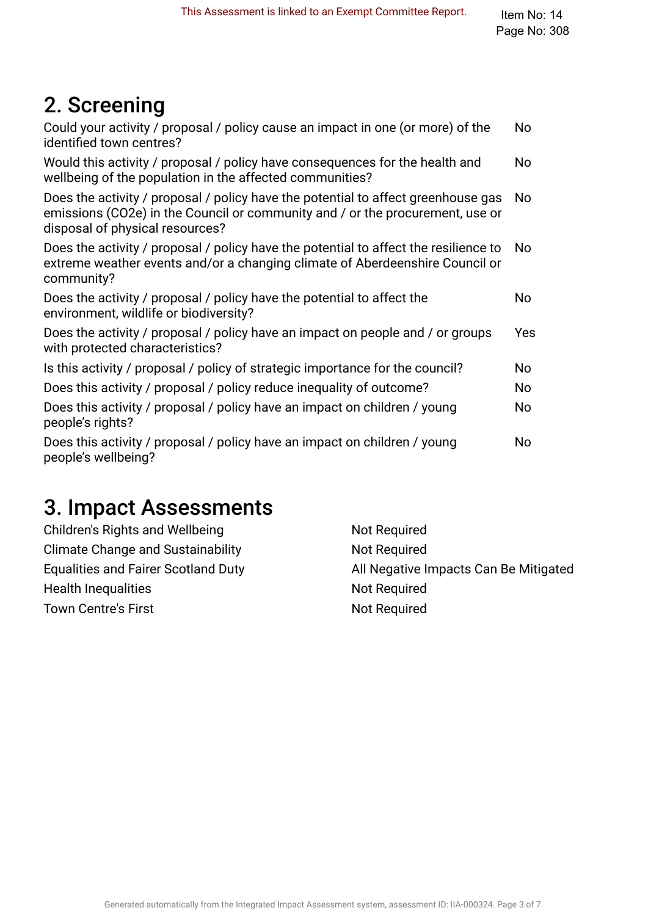## 2. Screening

| No  |
|-----|
| No  |
| No  |
| No  |
| No  |
| Yes |
| No. |
| No  |
| No  |
| No  |
|     |

## 3. Impact Assessments

| Children's Rights and Wellbeing            | Not Required                          |
|--------------------------------------------|---------------------------------------|
| <b>Climate Change and Sustainability</b>   | Not Required                          |
| <b>Equalities and Fairer Scotland Duty</b> | All Negative Impacts Can Be Mitigated |
| <b>Health Inequalities</b>                 | Not Required                          |
| <b>Town Centre's First</b>                 | Not Required                          |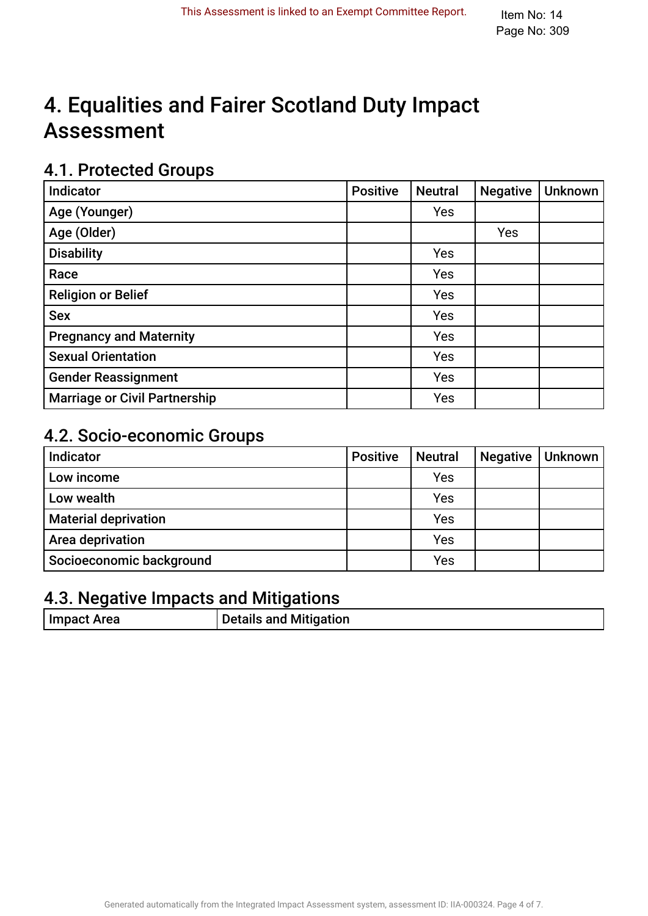## 4. Equalities and Fairer Scotland Duty Impact **Assessment**

### 4.1. Protected Groups

| Indicator                            | <b>Positive</b> | <b>Neutral</b> | <b>Negative</b> | <b>Unknown</b> |
|--------------------------------------|-----------------|----------------|-----------------|----------------|
| Age (Younger)                        |                 | Yes            |                 |                |
| Age (Older)                          |                 |                | Yes             |                |
| <b>Disability</b>                    |                 | Yes            |                 |                |
| Race                                 |                 | Yes            |                 |                |
| <b>Religion or Belief</b>            |                 | Yes            |                 |                |
| <b>Sex</b>                           |                 | Yes            |                 |                |
| <b>Pregnancy and Maternity</b>       |                 | Yes            |                 |                |
| <b>Sexual Orientation</b>            |                 | Yes            |                 |                |
| <b>Gender Reassignment</b>           |                 | Yes            |                 |                |
| <b>Marriage or Civil Partnership</b> |                 | Yes            |                 |                |

### 4.2. Socio-economic Groups

| Indicator                   | <b>Positive</b> | <b>Neutral</b> | <b>Negative</b> | Unknown |
|-----------------------------|-----------------|----------------|-----------------|---------|
| Low income                  |                 | Yes            |                 |         |
| Low wealth                  |                 | Yes            |                 |         |
| <b>Material deprivation</b> |                 | Yes            |                 |         |
| Area deprivation            |                 | Yes            |                 |         |
| Socioeconomic background    |                 | Yes            |                 |         |

## 4.3. Negative Impacts and Mitigations

| Impact Area | <b>Details and Mitigation</b> |
|-------------|-------------------------------|
|             |                               |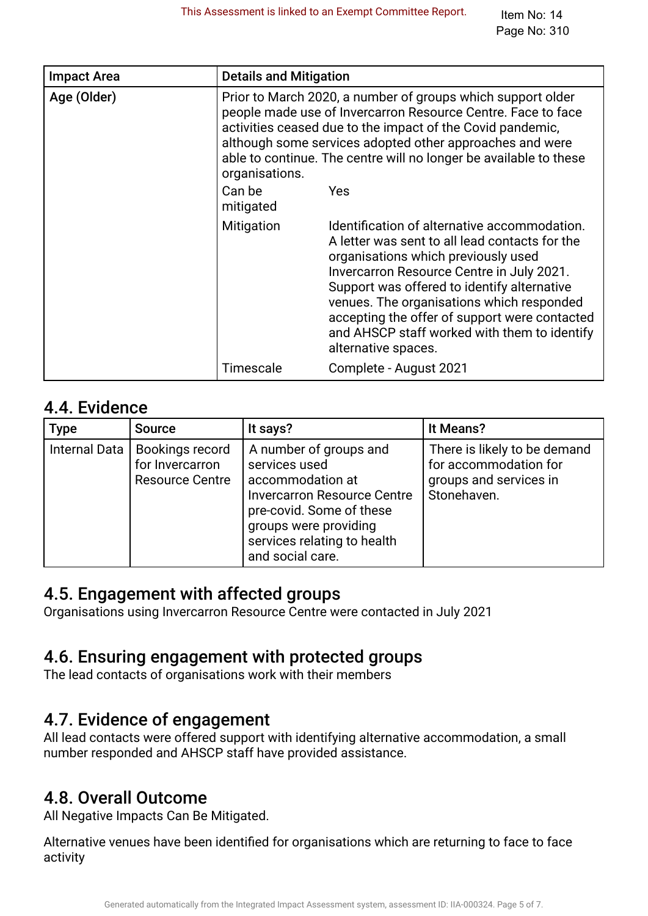| <b>Impact Area</b> | <b>Details and Mitigation</b>                                                                                                                                                                                                                                                                                                                |                                                                                                                                                                                                                                                                                                                                                                                                        |  |
|--------------------|----------------------------------------------------------------------------------------------------------------------------------------------------------------------------------------------------------------------------------------------------------------------------------------------------------------------------------------------|--------------------------------------------------------------------------------------------------------------------------------------------------------------------------------------------------------------------------------------------------------------------------------------------------------------------------------------------------------------------------------------------------------|--|
| Age (Older)        | Prior to March 2020, a number of groups which support older<br>people made use of Invercarron Resource Centre. Face to face<br>activities ceased due to the impact of the Covid pandemic,<br>although some services adopted other approaches and were<br>able to continue. The centre will no longer be available to these<br>organisations. |                                                                                                                                                                                                                                                                                                                                                                                                        |  |
|                    | Can be<br>mitigated                                                                                                                                                                                                                                                                                                                          | <b>Yes</b>                                                                                                                                                                                                                                                                                                                                                                                             |  |
|                    | Mitigation                                                                                                                                                                                                                                                                                                                                   | Identification of alternative accommodation.<br>A letter was sent to all lead contacts for the<br>organisations which previously used<br>Invercarron Resource Centre in July 2021.<br>Support was offered to identify alternative<br>venues. The organisations which responded<br>accepting the offer of support were contacted<br>and AHSCP staff worked with them to identify<br>alternative spaces. |  |
|                    | Timescale                                                                                                                                                                                                                                                                                                                                    | Complete - August 2021                                                                                                                                                                                                                                                                                                                                                                                 |  |

### 4.4. Evidence

| <b>Type</b>          | <b>Source</b>                                                       | It says?                                                                                                                                                                                                  | It Means?                                                                                      |
|----------------------|---------------------------------------------------------------------|-----------------------------------------------------------------------------------------------------------------------------------------------------------------------------------------------------------|------------------------------------------------------------------------------------------------|
| <b>Internal Data</b> | <b>Bookings record</b><br>for Invercarron<br><b>Resource Centre</b> | A number of groups and<br>services used<br>accommodation at<br><b>Invercarron Resource Centre</b><br>pre-covid. Some of these<br>groups were providing<br>services relating to health<br>and social care. | There is likely to be demand<br>for accommodation for<br>groups and services in<br>Stonehaven. |

### 4.5. Engagement with affected groups.

Organisations using Invercarron Resource Centre were contacted in July 2021

### 4.6. Ensuring engagement with protected groups.

The lead contacts of organisations work with their members

### 4.7. Evidence of engagement.

All lead contacts were offered support with identifying alternative accommodation, a small number responded and AHSCP staff have provided assistance.

## 4.8. Overall Outcome.

All Negative Impacts Can Be Mitigated.

Alternative venues have been identifed for organisations which are returning to face to face activity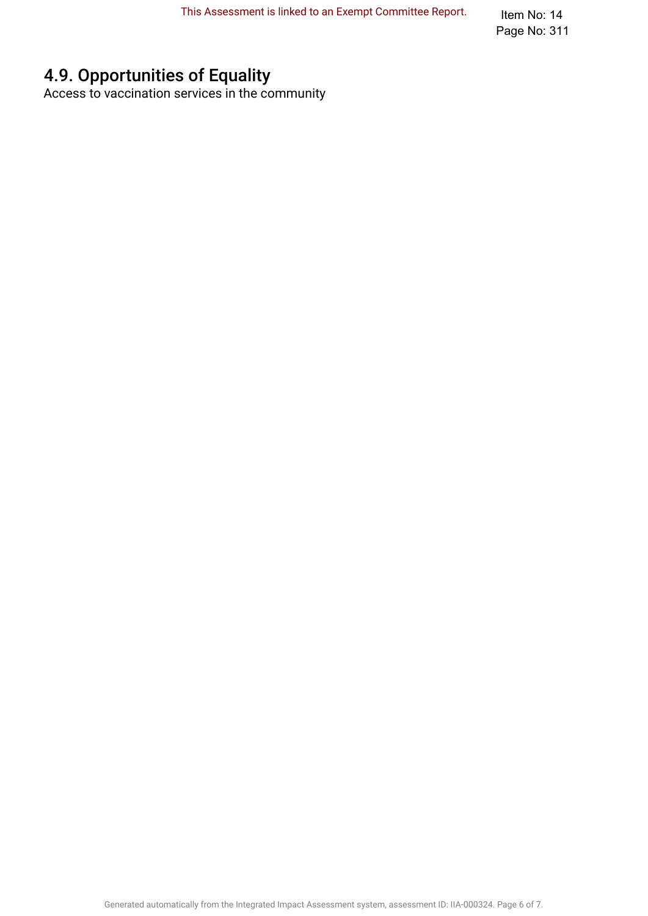Item No: 14 Page No: 311

## 4.9. Opportunities of Equality

Access to vaccination services in the community